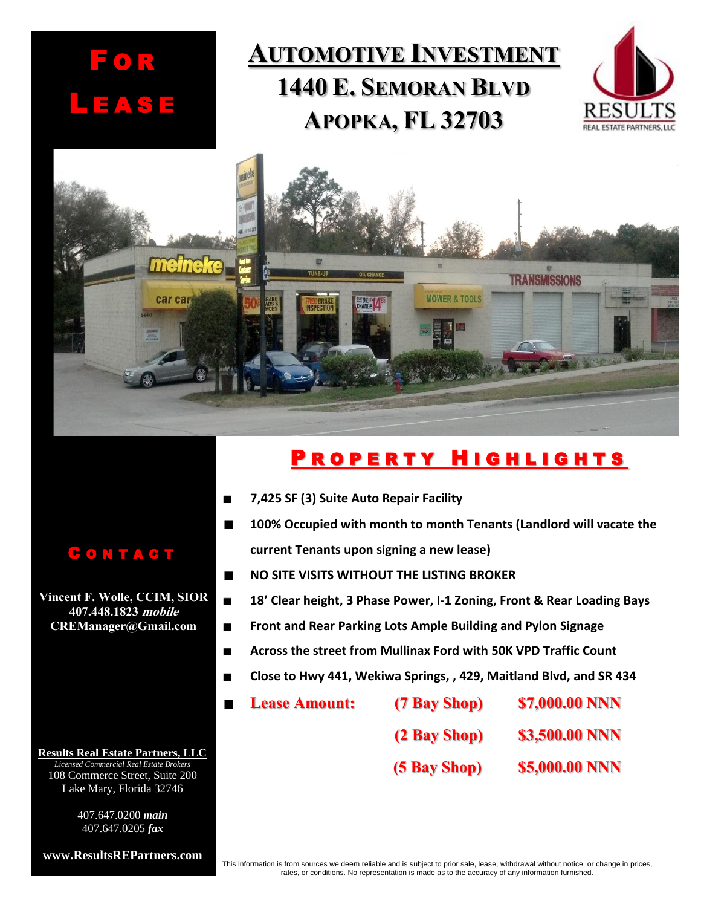# **AUTOMOTIVE INVESTMENT 1440 E. SEMORAN BLVD APOPKA, FL 32703**





## PROPERTY HIGHLIGHTS

- **7,425 SF (3) Suite Auto Repair Facility**
	- **100% Occupied with month to month Tenants (Landlord will vacate the current Tenants upon signing a new lease)**
- **NO SITE VISITS WITHOUT THE LISTING BROKER**  $\blacksquare$
- $\blacksquare$ **18' Clear height, 3 Phase Power, I-1 Zoning, Front & Rear Loading Bays**
- $\blacksquare$ **Front and Rear Parking Lots Ample Building and Pylon Signage**
- **Across the street from Mullinax Ford with 50K VPD Traffic Count**  $\blacksquare$
- **Close to Hwy 441, Wekiwa Springs, , 429, Maitland Blvd, and SR 434**
	- **Lease Amount: (7 Bay Shop) \$7,000.00 NNN**
		- **(2 Bay Shop) \$3,500.00 NNN**
		- **(5 Bay Shop) \$5,000.00 NNN**

#### C O N T A C T

F O R

L E A S E

**Vincent F. Wolle, CCIM, SIOR 407.448.1823 mobile CREManager@Gmail.com**

**Results Real Estate Partners, LLC** *Licensed Commercial Real Estate Brokers* 108 Commerce Street, Suite 200 Lake Mary, Florida 32746

> 407.647.0200 *main* 407.647.0205 *fax*

**www.ResultsREPartners.com**

This information is from sources we deem reliable and is subject to prior sale, lease, withdrawal without notice, or change in prices, rates, or conditions. No representation is made as to the accuracy of any information furnished.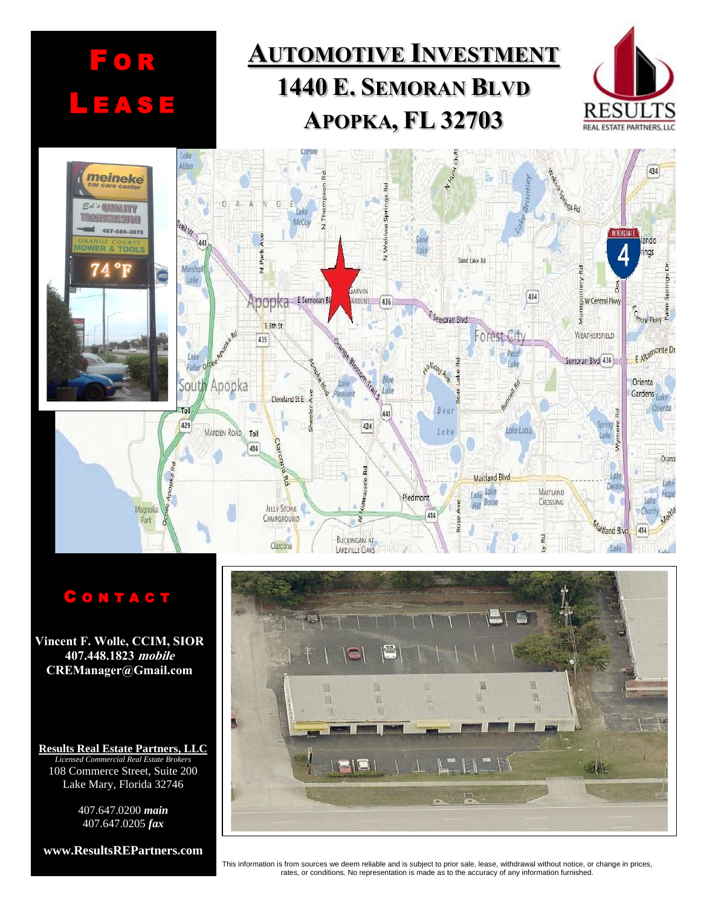

### C O N T A C T

**Vincent F. Wolle, CCIM, SIOR 407.448.1823 mobile CREManager@Gmail.com**

**Results Real Estate Partners, LLC** *Licensed Commercial Real Estate Brokers* 108 Commerce Street, Suite 200 Lake Mary, Florida 32746

> 407.647.0200 *main* 407.647.0205 *fax*

**www.ResultsREPartners.com**



#### This information is from sources we deem reliable and is subject to prior sale, lease, withdrawal without notice, or change in prices, rates, or conditions. No representation is made as to the accuracy of any information furnished.